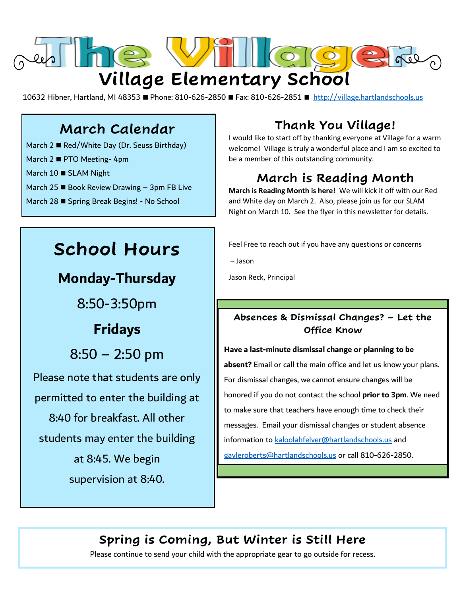

10632 Hibner, Hartland, MI 48353 ■ Phone: 810-626-2850 ■ Fax: 810-626-2851 ■ [http://village.hartlandschools.us](http://village.hartlandschools.us/)

## **March Calendar**

- March 2 Red/White Day (Dr. Seuss Birthday)
- March 2 PTO Meeting- 4pm
- March 10 SLAM Night
- March 25  $\blacksquare$  Book Review Drawing 3pm FB Live
- March 28 Spring Break Begins! No School

# **School Hours**

## **Monday-Thursday**

8:50-3:50pm

## **Fridays**

8:50 – 2:50 pm

Please note that students are only permitted to enter the building at 8:40 for breakfast. All other students may enter the building at 8:45. We begin supervision at 8:40.

## **Thank You Village!**

I would like to start off by thanking everyone at Village for a warm welcome! Village is truly a wonderful place and I am so excited to be a member of this outstanding community.

## **March is Reading Month**

**March is Reading Month is here!** We will kick it off with our Red and White day on March 2. Also, please join us for our SLAM Night on March 10. See the flyer in this newsletter for details.

Feel Free to reach out if you have any questions or concerns

– Jason

Jason Reck, Principal

#### **Absences & Dismissal Changes? – Let the Office Know**

#### **Have a last-minute dismissal change or planning to be**

**absent?** Email or call the main office and let us know your plans. For dismissal changes, we cannot ensure changes will be honored if you do not contact the school **prior to 3pm**. We need to make sure that teachers have enough time to check their messages. Email your dismissal changes or student absence information to [kaloolahfelver@hartlandschools.us](mailto:kaloolahfelver@hartlandschools.us) and [gayleroberts@hartlandschools.us](mailto:gayleroberts@hartlandschools.us) or call 810-626-2850.

## **Spring is Coming, But Winter is Still Here**

Please continue to send your child with the appropriate gear to go outside for recess.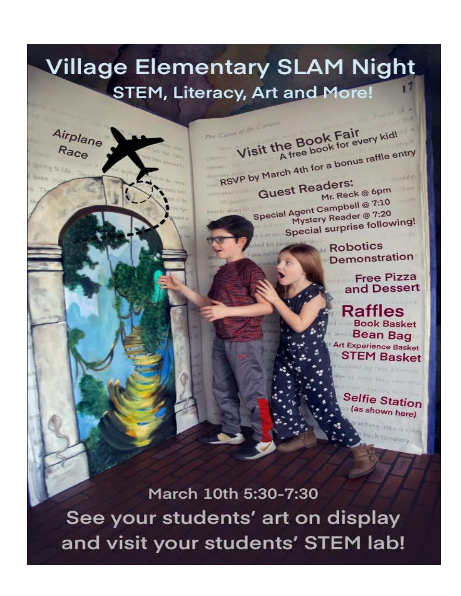# **Village Elementary SLAM Night STEM, Literacy, Art and More!**

Airplane Race

The Curse of the Canyon

Visit the Book Fair<br>A free book for every kid! RSVP by March 4th for a bonus raffle entry **Guest Readers:** Mr. Reck @ 6pm Special Agent Campbell @ 7:10 Mystery Reader @ 7:20 Special surprise following!

> **Robotics** Demonstration

> > Free Pizza and Dessert

Rattles **Book Basket Bean Bag Art Experience Basket STEM Basket** 

**Selfie Station** (as shown here)

March 10th 5:30-7:30 See your students' art on display and visit your students' STEM lab!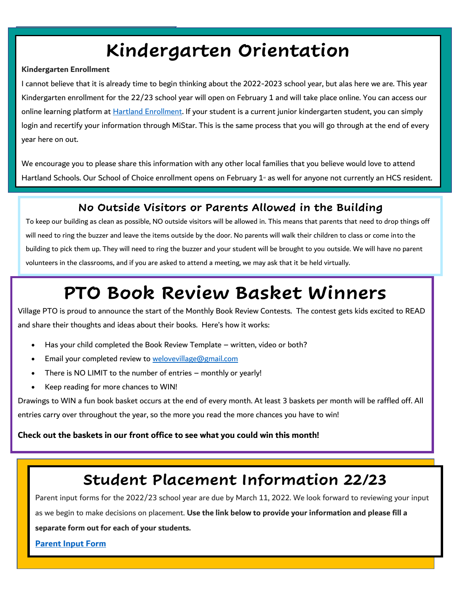# **Kindergarten Orientation**

#### **Kindergarten Enrollment**

I cannot believe that it is already time to begin thinking about the 2022-2023 school year, but alas here we are. This year Kindergarten enrollment for the 22/23 school year will open on February 1 and will take place online. You can access our online learning platform at Hartland Enrollment. If your student is a current junior kindergarten student, you can simply login and recertify your information through MiStar. This is the same process that you will go through at the end of every year here on out.

We encourage you to please share this information with any other local families that you believe would love to attend Hartland Schools. Our School of Choice enrollment opens on February 1<sup>st</sup> as well for anyone not currently an HCS resident.

### **No Outside Visitors or Parents Allowed in the Building**

To keep our building as clean as possible, NO outside visitors will be allowed in. This means that parents that need to drop things off will need to ring the buzzer and leave the items outside by the door. No parents will walk their children to class or come into the building to pick them up. They will need to ring the buzzer and your student will be brought to you outside. We will have no parent volunteers in the classrooms, and if you are asked to attend a meeting, we may ask that it be held virtually.

## **PTO Book Review Basket Winners**

Village PTO is proud to announce the start of the Monthly Book Review Contests. The contest gets kids excited to READ and share their thoughts and ideas about their books. Here's how it works:

- Has your child completed the Book Review Template written, video or both?
- Email your completed review to welovevillage@gmail.com
- There is NO LIMIT to the number of entries monthly or yearly!
- Keep reading for more chances to WIN!

Drawings to WIN a fun book basket occurs at the end of every month. At least 3 baskets per month will be raffled off. All entries carry over throughout the year, so the more you read the more chances you have to win!

#### **Check out the baskets in our front office to see what you could win this month!**

## **Student Placement Information 22/23**

Parent input forms for the 2022/23 school year are due by March 11, 2022. We look forward to reviewing your input as we begin to make decisions on placement. **Use the link below to provide your information and please fill a** 

**separate form out for each of your students.**

**[Parent Input Form](https://docs.google.com/forms/d/e/1FAIpQLSeqKP2JDtre9vAStrdzb-sw30pGLc6LdxjJ6Thp4YLlktuTHg/viewform)**